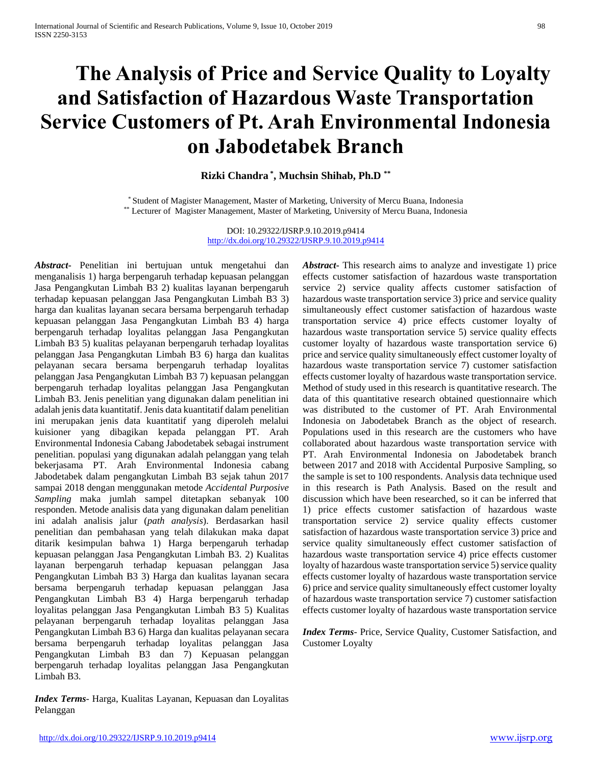# **The Analysis of Price and Service Quality to Loyalty and Satisfaction of Hazardous Waste Transportation Service Customers of Pt. Arah Environmental Indonesia on Jabodetabek Branch**

**Rizki Chandra \* , Muchsin Shihab, Ph.D \*\***

\* Student of Magister Management, Master of Marketing, University of Mercu Buana, Indonesia \*\* Lecturer of Magister Management, Master of Marketing, University of Mercu Buana, Indonesia

> DOI: 10.29322/IJSRP.9.10.2019.p9414 <http://dx.doi.org/10.29322/IJSRP.9.10.2019.p9414>

*Abstract***-** Penelitian ini bertujuan untuk mengetahui dan menganalisis 1) harga berpengaruh terhadap kepuasan pelanggan Jasa Pengangkutan Limbah B3 2) kualitas layanan berpengaruh terhadap kepuasan pelanggan Jasa Pengangkutan Limbah B3 3) harga dan kualitas layanan secara bersama berpengaruh terhadap kepuasan pelanggan Jasa Pengangkutan Limbah B3 4) harga berpengaruh terhadap loyalitas pelanggan Jasa Pengangkutan Limbah B3 5) kualitas pelayanan berpengaruh terhadap loyalitas pelanggan Jasa Pengangkutan Limbah B3 6) harga dan kualitas pelayanan secara bersama berpengaruh terhadap loyalitas pelanggan Jasa Pengangkutan Limbah B3 7) kepuasan pelanggan berpengaruh terhadap loyalitas pelanggan Jasa Pengangkutan Limbah B3. Jenis penelitian yang digunakan dalam penelitian ini adalah jenis data kuantitatif. Jenis data kuantitatif dalam penelitian ini merupakan jenis data kuantitatif yang diperoleh melalui kuisioner yang dibagikan kepada pelanggan PT. Arah Environmental Indonesia Cabang Jabodetabek sebagai instrument penelitian. populasi yang digunakan adalah pelanggan yang telah bekerjasama PT. Arah Environmental Indonesia cabang Jabodetabek dalam pengangkutan Limbah B3 sejak tahun 2017 sampai 2018 dengan menggunakan metode *Accidental Purposive Sampling* maka jumlah sampel ditetapkan sebanyak 100 responden. Metode analisis data yang digunakan dalam penelitian ini adalah analisis jalur (*path analysis*). Berdasarkan hasil penelitian dan pembahasan yang telah dilakukan maka dapat ditarik kesimpulan bahwa 1) Harga berpengaruh terhadap kepuasan pelanggan Jasa Pengangkutan Limbah B3. 2) Kualitas layanan berpengaruh terhadap kepuasan pelanggan Jasa Pengangkutan Limbah B3 3) Harga dan kualitas layanan secara bersama berpengaruh terhadap kepuasan pelanggan Jasa Pengangkutan Limbah B3 4) Harga berpengaruh terhadap loyalitas pelanggan Jasa Pengangkutan Limbah B3 5) Kualitas pelayanan berpengaruh terhadap loyalitas pelanggan Jasa Pengangkutan Limbah B3 6) Harga dan kualitas pelayanan secara bersama berpengaruh terhadap loyalitas pelanggan Jasa Pengangkutan Limbah B3 dan 7) Kepuasan pelanggan berpengaruh terhadap loyalitas pelanggan Jasa Pengangkutan Limbah B3.

*Index Terms*- Harga, Kualitas Layanan, Kepuasan dan Loyalitas Pelanggan

*Abstract***-** This research aims to analyze and investigate 1) price effects customer satisfaction of hazardous waste transportation service 2) service quality affects customer satisfaction of hazardous waste transportation service 3) price and service quality simultaneously effect customer satisfaction of hazardous waste transportation service 4) price effects customer loyalty of hazardous waste transportation service 5) service quality effects customer loyalty of hazardous waste transportation service 6) price and service quality simultaneously effect customer loyalty of hazardous waste transportation service 7) customer satisfaction effects customer loyalty of hazardous waste transportation service. Method of study used in this research is quantitative research. The data of this quantitative research obtained questionnaire which was distributed to the customer of PT. Arah Environmental Indonesia on Jabodetabek Branch as the object of research. Populations used in this research are the customers who have collaborated about hazardous waste transportation service with PT. Arah Environmental Indonesia on Jabodetabek branch between 2017 and 2018 with Accidental Purposive Sampling, so the sample is set to 100 respondents. Analysis data technique used in this research is Path Analysis. Based on the result and discussion which have been researched, so it can be inferred that 1) price effects customer satisfaction of hazardous waste transportation service 2) service quality effects customer satisfaction of hazardous waste transportation service 3) price and service quality simultaneously effect customer satisfaction of hazardous waste transportation service 4) price effects customer loyalty of hazardous waste transportation service 5) service quality effects customer loyalty of hazardous waste transportation service 6) price and service quality simultaneously effect customer loyalty of hazardous waste transportation service 7) customer satisfaction effects customer loyalty of hazardous waste transportation service

*Index Terms*- Price, Service Quality, Customer Satisfaction, and Customer Loyalty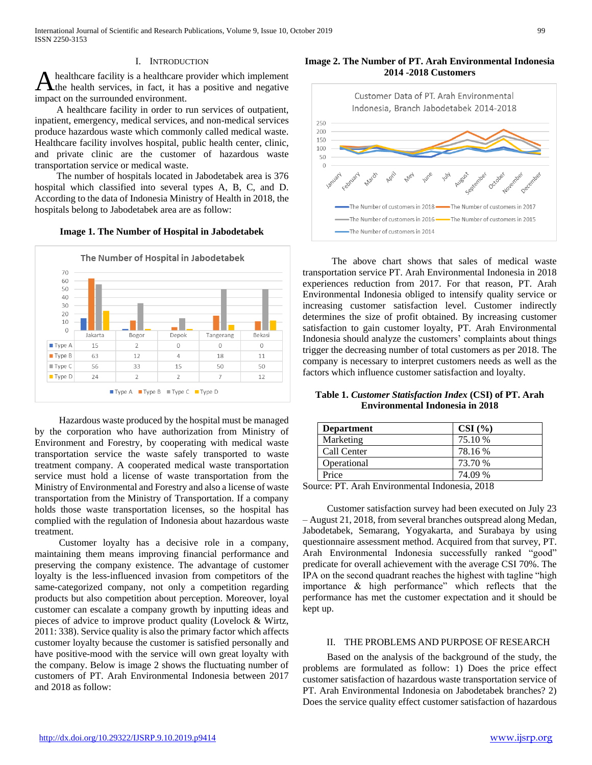#### I. INTRODUCTION

healthcare facility is a healthcare provider which implement the health services, in fact, it has a positive and negative impact on the surrounded environment. A

 A healthcare facility in order to run services of outpatient, inpatient, emergency, medical services, and non-medical services produce hazardous waste which commonly called medical waste. Healthcare facility involves hospital, public health center, clinic, and private clinic are the customer of hazardous waste transportation service or medical waste.

 The number of hospitals located in Jabodetabek area is 376 hospital which classified into several types A, B, C, and D. According to the data of Indonesia Ministry of Health in 2018, the hospitals belong to Jabodetabek area are as follow:

#### **Image 1. The Number of Hospital in Jabodetabek**



 Hazardous waste produced by the hospital must be managed by the corporation who have authorization from Ministry of Environment and Forestry, by cooperating with medical waste transportation service the waste safely transported to waste treatment company. A cooperated medical waste transportation service must hold a license of waste transportation from the Ministry of Environmental and Forestry and also a license of waste transportation from the Ministry of Transportation. If a company holds those waste transportation licenses, so the hospital has complied with the regulation of Indonesia about hazardous waste treatment.

 Customer loyalty has a decisive role in a company, maintaining them means improving financial performance and preserving the company existence. The advantage of customer loyalty is the less-influenced invasion from competitors of the same-categorized company, not only a competition regarding products but also competition about perception. Moreover, loyal customer can escalate a company growth by inputting ideas and pieces of advice to improve product quality (Lovelock & Wirtz, 2011: 338). Service quality is also the primary factor which affects customer loyalty because the customer is satisfied personally and have positive-mood with the service will own great loyalty with the company. Below is image 2 shows the fluctuating number of customers of PT. Arah Environmental Indonesia between 2017 and 2018 as follow:

**Image 2. The Number of PT. Arah Environmental Indonesia 2014 -2018 Customers**



 The above chart shows that sales of medical waste transportation service PT. Arah Environmental Indonesia in 2018 experiences reduction from 2017. For that reason, PT. Arah Environmental Indonesia obliged to intensify quality service or increasing customer satisfaction level. Customer indirectly determines the size of profit obtained. By increasing customer satisfaction to gain customer loyalty, PT. Arah Environmental Indonesia should analyze the customers' complaints about things trigger the decreasing number of total customers as per 2018. The company is necessary to interpret customers needs as well as the factors which influence customer satisfaction and loyalty.

**Table 1.** *Customer Statisfaction Index* **(CSI) of PT. Arah Environmental Indonesia in 2018**

| <b>Department</b> | CSI(%)  |
|-------------------|---------|
| Marketing         | 75.10 % |
| Call Center       | 78.16 % |
| Operational       | 73.70 % |
| Price             | 74.09 % |

Source: PT. Arah Environmental Indonesia, 2018

 Customer satisfaction survey had been executed on July 23 – August 21, 2018, from several branches outspread along Medan, Jabodetabek, Semarang, Yogyakarta, and Surabaya by using questionnaire assessment method. Acquired from that survey, PT. Arah Environmental Indonesia successfully ranked "good" predicate for overall achievement with the average CSI 70%. The IPA on the second quadrant reaches the highest with tagline "high importance & high performance" which reflects that the performance has met the customer expectation and it should be kept up.

#### II. THE PROBLEMS AND PURPOSE OF RESEARCH

 Based on the analysis of the background of the study, the problems are formulated as follow: 1) Does the price effect customer satisfaction of hazardous waste transportation service of PT. Arah Environmental Indonesia on Jabodetabek branches? 2) Does the service quality effect customer satisfaction of hazardous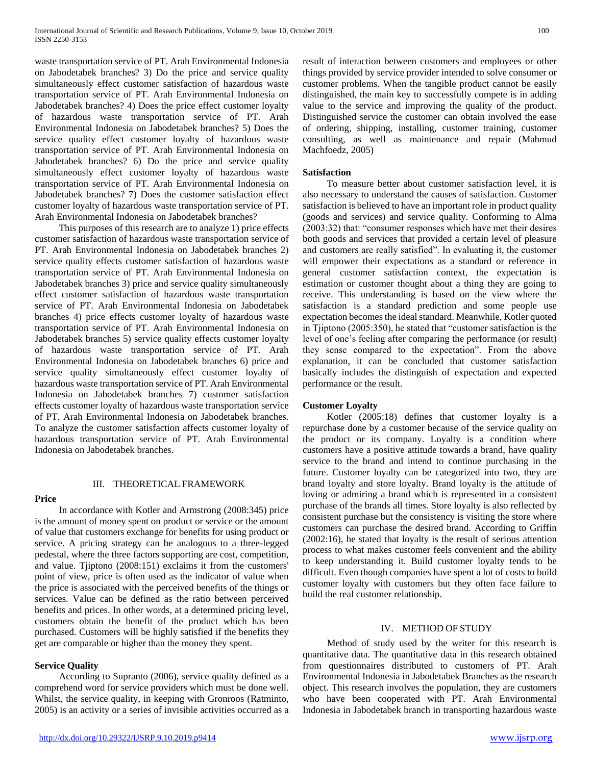waste transportation service of PT. Arah Environmental Indonesia on Jabodetabek branches? 3) Do the price and service quality simultaneously effect customer satisfaction of hazardous waste transportation service of PT. Arah Environmental Indonesia on Jabodetabek branches? 4) Does the price effect customer loyalty of hazardous waste transportation service of PT. Arah Environmental Indonesia on Jabodetabek branches? 5) Does the service quality effect customer loyalty of hazardous waste transportation service of PT. Arah Environmental Indonesia on Jabodetabek branches? 6) Do the price and service quality simultaneously effect customer loyalty of hazardous waste transportation service of PT. Arah Environmental Indonesia on Jabodetabek branches? 7) Does the customer satisfaction effect customer loyalty of hazardous waste transportation service of PT. Arah Environmental Indonesia on Jabodetabek branches?

 This purposes of this research are to analyze 1) price effects customer satisfaction of hazardous waste transportation service of PT. Arah Environmental Indonesia on Jabodetabek branches 2) service quality effects customer satisfaction of hazardous waste transportation service of PT. Arah Environmental Indonesia on Jabodetabek branches 3) price and service quality simultaneously effect customer satisfaction of hazardous waste transportation service of PT. Arah Environmental Indonesia on Jabodetabek branches 4) price effects customer loyalty of hazardous waste transportation service of PT. Arah Environmental Indonesia on Jabodetabek branches 5) service quality effects customer loyalty of hazardous waste transportation service of PT. Arah Environmental Indonesia on Jabodetabek branches 6) price and service quality simultaneously effect customer loyalty of hazardous waste transportation service of PT. Arah Environmental Indonesia on Jabodetabek branches 7) customer satisfaction effects customer loyalty of hazardous waste transportation service of PT. Arah Environmental Indonesia on Jabodetabek branches. To analyze the customer satisfaction affects customer loyalty of hazardous transportation service of PT. Arah Environmental Indonesia on Jabodetabek branches.

### **Price**

## III. THEORETICAL FRAMEWORK

 In accordance with Kotler and Armstrong (2008:345) price is the amount of money spent on product or service or the amount of value that customers exchange for benefits for using product or service. A pricing strategy can be analogous to a three-legged pedestal, where the three factors supporting are cost, competition, and value. Tjiptono (2008:151) exclaims it from the customers' point of view, price is often used as the indicator of value when the price is associated with the perceived benefits of the things or services. Value can be defined as the ratio between perceived benefits and prices. In other words, at a determined pricing level, customers obtain the benefit of the product which has been purchased. Customers will be highly satisfied if the benefits they get are comparable or higher than the money they spent.

# **Service Quality**

 According to Supranto (2006), service quality defined as a comprehend word for service providers which must be done well. Whilst, the service quality, in keeping with Gronroos (Ratminto, 2005) is an activity or a series of invisible activities occurred as a result of interaction between customers and employees or other things provided by service provider intended to solve consumer or customer problems. When the tangible product cannot be easily distinguished, the main key to successfully compete is in adding value to the service and improving the quality of the product. Distinguished service the customer can obtain involved the ease of ordering, shipping, installing, customer training, customer consulting, as well as maintenance and repair (Mahmud Machfoedz, 2005)

## **Satisfaction**

 To measure better about customer satisfaction level, it is also necessary to understand the causes of satisfaction. Customer satisfaction is believed to have an important role in product quality (goods and services) and service quality. Conforming to Alma (2003:32) that: "consumer responses which have met their desires both goods and services that provided a certain level of pleasure and customers are really satisfied". In evaluating it, the customer will empower their expectations as a standard or reference in general customer satisfaction context, the expectation is estimation or customer thought about a thing they are going to receive. This understanding is based on the view where the satisfaction is a standard prediction and some people use expectation becomes the ideal standard. Meanwhile, Kotler quoted in Tjiptono (2005:350), he stated that "customer satisfaction is the level of one's feeling after comparing the performance (or result) they sense compared to the expectation". From the above explanation, it can be concluded that customer satisfaction basically includes the distinguish of expectation and expected performance or the result.

# **Customer Loyalty**

 Kotler (2005:18) defines that customer loyalty is a repurchase done by a customer because of the service quality on the product or its company. Loyalty is a condition where customers have a positive attitude towards a brand, have quality service to the brand and intend to continue purchasing in the future. Customer loyalty can be categorized into two, they are brand loyalty and store loyalty. Brand loyalty is the attitude of loving or admiring a brand which is represented in a consistent purchase of the brands all times. Store loyalty is also reflected by consistent purchase but the consistency is visiting the store where customers can purchase the desired brand. According to Griffin (2002:16), he stated that loyalty is the result of serious attention process to what makes customer feels convenient and the ability to keep understanding it. Build customer loyalty tends to be difficult. Even though companies have spent a lot of costs to build customer loyalty with customers but they often face failure to build the real customer relationship.

## IV. METHOD OF STUDY

 Method of study used by the writer for this research is quantitative data. The quantitative data in this research obtained from questionnaires distributed to customers of PT. Arah Environmental Indonesia in Jabodetabek Branches as the research object. This research involves the population, they are customers who have been cooperated with PT. Arah Environmental Indonesia in Jabodetabek branch in transporting hazardous waste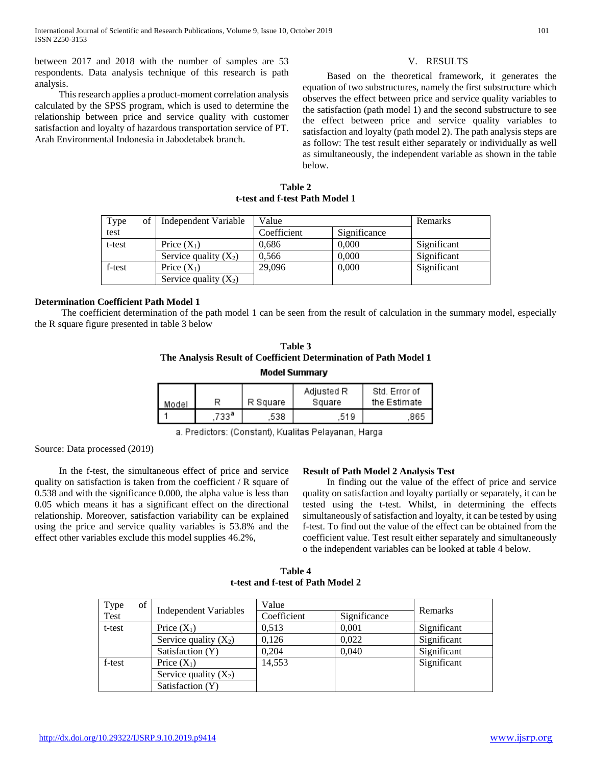between 2017 and 2018 with the number of samples are 53 respondents. Data analysis technique of this research is path analysis.

 This research applies a product-moment correlation analysis calculated by the SPSS program, which is used to determine the relationship between price and service quality with customer satisfaction and loyalty of hazardous transportation service of PT. Arah Environmental Indonesia in Jabodetabek branch.

#### V. RESULTS

 Based on the theoretical framework, it generates the equation of two substructures, namely the first substructure which observes the effect between price and service quality variables to the satisfaction (path model 1) and the second substructure to see the effect between price and service quality variables to satisfaction and loyalty (path model 2). The path analysis steps are as follow: The test result either separately or individually as well as simultaneously, the independent variable as shown in the table below.

**Table 2 t-test and f-test Path Model 1**

| Type   | of   Independent Variable | Value       |              | Remarks     |
|--------|---------------------------|-------------|--------------|-------------|
| test   |                           | Coefficient | Significance |             |
| t-test | Price $(X_1)$             | 0,686       | 0,000        | Significant |
|        | Service quality $(X_2)$   | 0.566       | 0.000        | Significant |
| f-test | Price $(X_1)$             | 29,096      | 0,000        | Significant |
|        | Service quality $(X_2)$   |             |              |             |

### **Determination Coefficient Path Model 1**

 The coefficient determination of the path model 1 can be seen from the result of calculation in the summary model, especially the R square figure presented in table 3 below

| Table 3                                                          |
|------------------------------------------------------------------|
| The Analysis Result of Coefficient Determination of Path Model 1 |
| Model Summary                                                    |

| Model |      | R Square | Adjusted R<br>Square | Std. Error of<br>the Estimate |
|-------|------|----------|----------------------|-------------------------------|
|       | 733ª | 538      | 519                  | 965.                          |

a. Predictors: (Constant), Kualitas Pelayanan, Harga

Source: Data processed (2019)

 In the f-test, the simultaneous effect of price and service quality on satisfaction is taken from the coefficient / R square of 0.538 and with the significance 0.000, the alpha value is less than 0.05 which means it has a significant effect on the directional relationship. Moreover, satisfaction variability can be explained using the price and service quality variables is 53.8% and the effect other variables exclude this model supplies 46.2%,

#### **Result of Path Model 2 Analysis Test**

 In finding out the value of the effect of price and service quality on satisfaction and loyalty partially or separately, it can be tested using the t-test. Whilst, in determining the effects simultaneously of satisfaction and loyalty, it can be tested by using f-test. To find out the value of the effect can be obtained from the coefficient value. Test result either separately and simultaneously o the independent variables can be looked at table 4 below.

**Table 4 t-test and f-test of Path Model 2**

| Type   | of |                              | Value<br>Coefficient<br>Significance |       | Remarks     |  |
|--------|----|------------------------------|--------------------------------------|-------|-------------|--|
| Test   |    | <b>Independent Variables</b> |                                      |       |             |  |
| t-test |    | Price $(X_1)$                | 0.513                                | 0,001 | Significant |  |
|        |    | Service quality $(X_2)$      | 0.126                                | 0.022 | Significant |  |
|        |    | Satisfaction (Y)             | 0,204                                | 0,040 | Significant |  |
| f-test |    | Price $(X_1)$                | 14,553                               |       | Significant |  |
|        |    | Service quality $(X_2)$      |                                      |       |             |  |
|        |    | Satisfaction (Y)             |                                      |       |             |  |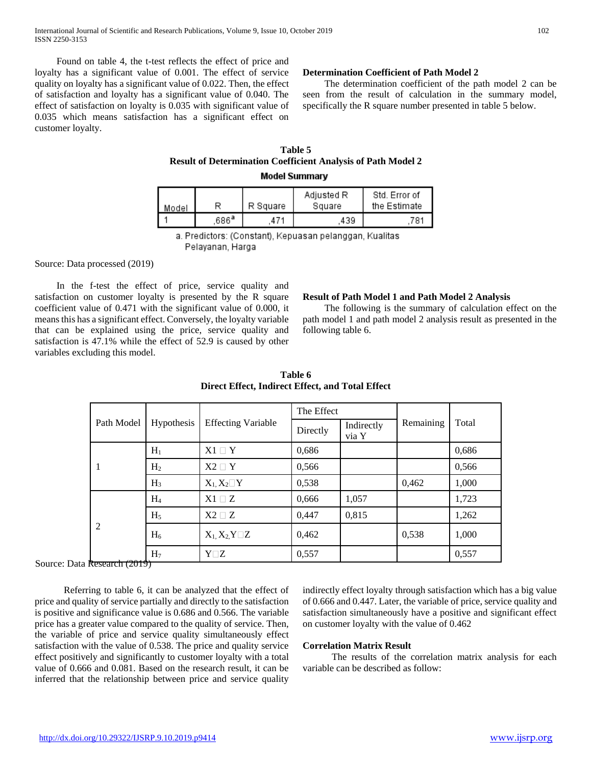Found on table 4, the t-test reflects the effect of price and loyalty has a significant value of 0.001. The effect of service quality on loyalty has a significant value of 0.022. Then, the effect of satisfaction and loyalty has a significant value of 0.040. The effect of satisfaction on loyalty is 0.035 with significant value of 0.035 which means satisfaction has a significant effect on customer loyalty.

#### **Determination Coefficient of Path Model 2**

 The determination coefficient of the path model 2 can be seen from the result of calculation in the summary model, specifically the R square number presented in table 5 below.

## **Table 5 Result of Determination Coefficient Analysis of Path Model 2 Model Summary**

| Model |      | R Square | Adjusted R<br>Square | Std. Error of<br>the Estimate |
|-------|------|----------|----------------------|-------------------------------|
|       | 686ª | 471      | 439                  | 781                           |

a. Predictors: (Constant), Kepuasan pelanggan, Kualitas Pelayanan, Harga

Source: Data processed (2019)

 In the f-test the effect of price, service quality and satisfaction on customer loyalty is presented by the R square coefficient value of 0.471 with the significant value of 0.000, it means this has a significant effect. Conversely, the loyalty variable that can be explained using the price, service quality and satisfaction is 47.1% while the effect of 52.9 is caused by other variables excluding this model.

#### **Result of Path Model 1 and Path Model 2 Analysis**

 The following is the summary of calculation effect on the path model 1 and path model 2 analysis result as presented in the following table 6.

|                                    | Hypothesis     | <b>Effecting Variable</b> | The Effect |                     |           |       |
|------------------------------------|----------------|---------------------------|------------|---------------------|-----------|-------|
| Path Model                         |                |                           | Directly   | Indirectly<br>via Y | Remaining | Total |
|                                    | $H_1$          | $X1 \sqcap Y$             | 0,686      |                     |           | 0,686 |
|                                    | H <sub>2</sub> | $X2 \square Y$            | 0,566      |                     |           | 0,566 |
|                                    | $H_3$          | $X_1, X_2 \square Y$      | 0,538      |                     | 0,462     | 1,000 |
|                                    | $H_4$          | $X1 \square Z$            | 0,666      | 1,057               |           | 1,723 |
| 2<br>,,,,,,,,, <del>,,,,,,,,</del> | $H_5$          | $X2 \square Z$            | 0.447      | 0,815               |           | 1,262 |
|                                    | $H_6$          | $X_1, X_2, Y \square Z$   | 0,462      |                     | 0,538     | 1,000 |
|                                    | H <sub>7</sub> | $Y\square Z$              | 0,557      |                     |           | 0,557 |

**Table 6 Direct Effect, Indirect Effect, and Total Effect**

Source: Data Research (2019)

 Referring to table 6, it can be analyzed that the effect of price and quality of service partially and directly to the satisfaction is positive and significance value is 0.686 and 0.566. The variable price has a greater value compared to the quality of service. Then, the variable of price and service quality simultaneously effect satisfaction with the value of 0.538. The price and quality service effect positively and significantly to customer loyalty with a total value of 0.666 and 0.081. Based on the research result, it can be inferred that the relationship between price and service quality

indirectly effect loyalty through satisfaction which has a big value of 0.666 and 0.447. Later, the variable of price, service quality and satisfaction simultaneously have a positive and significant effect on customer loyalty with the value of 0.462

### **Correlation Matrix Result**

 The results of the correlation matrix analysis for each variable can be described as follow: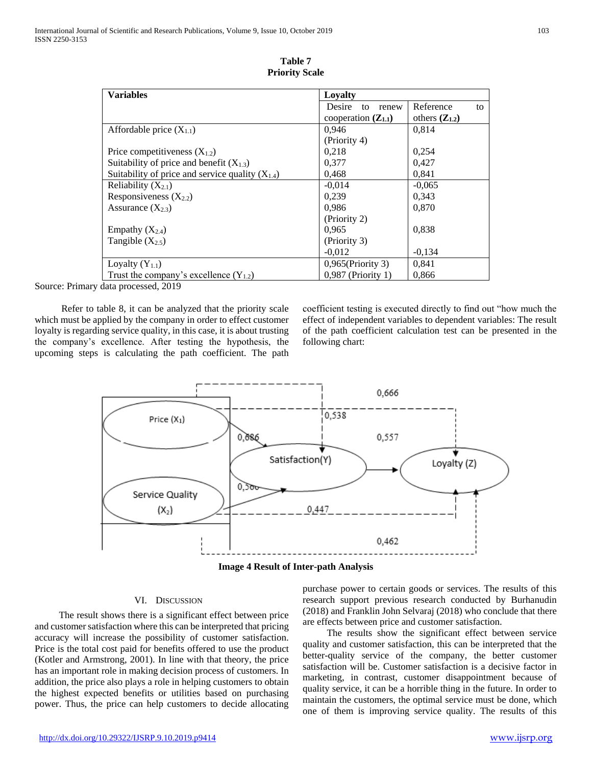| <b>Variables</b>                                     | Loyalty                 |                    |  |  |  |
|------------------------------------------------------|-------------------------|--------------------|--|--|--|
|                                                      | Desire<br>to<br>renew   | Reference<br>to    |  |  |  |
|                                                      | cooperation $(Z_{1,1})$ | others $(Z_{1,2})$ |  |  |  |
| Affordable price $(X_{1,1})$                         | 0.946                   | 0,814              |  |  |  |
|                                                      | (Priority 4)            |                    |  |  |  |
| Price competitiveness $(X_{1,2})$                    | 0,218                   | 0,254              |  |  |  |
| Suitability of price and benefit $(X_{1,3})$         | 0,377                   | 0,427              |  |  |  |
| Suitability of price and service quality $(X_{1,4})$ | 0,468                   | 0,841              |  |  |  |
| Reliability $(X_{2,1})$                              | $-0.014$                | $-0.065$           |  |  |  |
| Responsiveness $(X_{2,2})$                           | 0,239                   | 0,343              |  |  |  |
| Assurance $(X_2, x)$                                 | 0.986                   | 0,870              |  |  |  |
|                                                      | (Priority 2)            |                    |  |  |  |
| Empathy $(X_{2,4})$                                  | 0.965                   | 0,838              |  |  |  |
| Tangible $(X_{2,5})$                                 | (Priority 3)            |                    |  |  |  |
|                                                      | $-0.012$                | $-0,134$           |  |  |  |
| Loyalty $(Y_{1.1})$                                  | $0,965$ (Priority 3)    | 0.841              |  |  |  |
| Trust the company's excellence $(Y_{1,2})$           | 0,987 (Priority 1)      | 0.866              |  |  |  |

**Table 7 Priority Scale**

Source: Primary data processed, 2019

 Refer to table 8, it can be analyzed that the priority scale which must be applied by the company in order to effect customer loyalty is regarding service quality, in this case, it is about trusting the company's excellence. After testing the hypothesis, the upcoming steps is calculating the path coefficient. The path

coefficient testing is executed directly to find out "how much the effect of independent variables to dependent variables: The result of the path coefficient calculation test can be presented in the following chart:



**Image 4 Result of Inter-path Analysis**

## VI. DISCUSSION

 The result shows there is a significant effect between price and customer satisfaction where this can be interpreted that pricing accuracy will increase the possibility of customer satisfaction. Price is the total cost paid for benefits offered to use the product (Kotler and Armstrong, 2001). In line with that theory, the price has an important role in making decision process of customers. In addition, the price also plays a role in helping customers to obtain the highest expected benefits or utilities based on purchasing power. Thus, the price can help customers to decide allocating

purchase power to certain goods or services. The results of this research support previous research conducted by Burhanudin (2018) and Franklin John Selvaraj (2018) who conclude that there are effects between price and customer satisfaction.

 The results show the significant effect between service quality and customer satisfaction, this can be interpreted that the better-quality service of the company, the better customer satisfaction will be. Customer satisfaction is a decisive factor in marketing, in contrast, customer disappointment because of quality service, it can be a horrible thing in the future. In order to maintain the customers, the optimal service must be done, which one of them is improving service quality. The results of this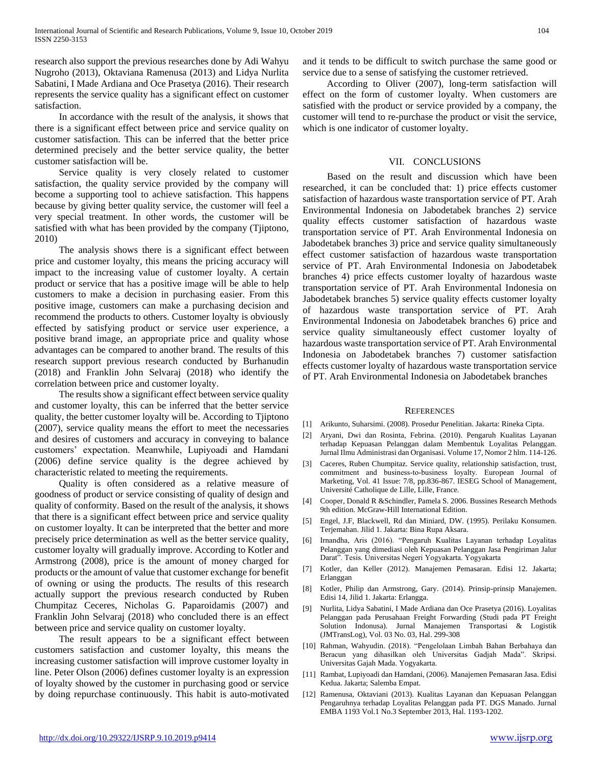research also support the previous researches done by Adi Wahyu Nugroho (2013), Oktaviana Ramenusa (2013) and Lidya Nurlita Sabatini, I Made Ardiana and Oce Prasetya (2016). Their research represents the service quality has a significant effect on customer satisfaction.

 In accordance with the result of the analysis, it shows that there is a significant effect between price and service quality on customer satisfaction. This can be inferred that the better price determined precisely and the better service quality, the better customer satisfaction will be.

 Service quality is very closely related to customer satisfaction, the quality service provided by the company will become a supporting tool to achieve satisfaction. This happens because by giving better quality service, the customer will feel a very special treatment. In other words, the customer will be satisfied with what has been provided by the company (Tjiptono, 2010)

 The analysis shows there is a significant effect between price and customer loyalty, this means the pricing accuracy will impact to the increasing value of customer loyalty. A certain product or service that has a positive image will be able to help customers to make a decision in purchasing easier. From this positive image, customers can make a purchasing decision and recommend the products to others. Customer loyalty is obviously effected by satisfying product or service user experience, a positive brand image, an appropriate price and quality whose advantages can be compared to another brand. The results of this research support previous research conducted by Burhanudin (2018) and Franklin John Selvaraj (2018) who identify the correlation between price and customer loyalty.

 The results show a significant effect between service quality and customer loyalty, this can be inferred that the better service quality, the better customer loyalty will be. According to Tjiptono (2007), service quality means the effort to meet the necessaries and desires of customers and accuracy in conveying to balance customers' expectation. Meanwhile, Lupiyoadi and Hamdani (2006) define service quality is the degree achieved by characteristic related to meeting the requirements.

 Quality is often considered as a relative measure of goodness of product or service consisting of quality of design and quality of conformity. Based on the result of the analysis, it shows that there is a significant effect between price and service quality on customer loyalty. It can be interpreted that the better and more precisely price determination as well as the better service quality, customer loyalty will gradually improve. According to Kotler and Armstrong (2008), price is the amount of money charged for products or the amount of value that customer exchange for benefit of owning or using the products. The results of this research actually support the previous research conducted by Ruben Chumpitaz Ceceres, Nicholas G. Paparoidamis (2007) and Franklin John Selvaraj (2018) who concluded there is an effect between price and service quality on customer loyalty.

 The result appears to be a significant effect between customers satisfaction and customer loyalty, this means the increasing customer satisfaction will improve customer loyalty in line. Peter Olson (2006) defines customer loyalty is an expression of loyalty showed by the customer in purchasing good or service by doing repurchase continuously. This habit is auto-motivated and it tends to be difficult to switch purchase the same good or service due to a sense of satisfying the customer retrieved.

 According to Oliver (2007), long-term satisfaction will effect on the form of customer loyalty. When customers are satisfied with the product or service provided by a company, the customer will tend to re-purchase the product or visit the service, which is one indicator of customer loyalty.

#### VII. CONCLUSIONS

 Based on the result and discussion which have been researched, it can be concluded that: 1) price effects customer satisfaction of hazardous waste transportation service of PT. Arah Environmental Indonesia on Jabodetabek branches 2) service quality effects customer satisfaction of hazardous waste transportation service of PT. Arah Environmental Indonesia on Jabodetabek branches 3) price and service quality simultaneously effect customer satisfaction of hazardous waste transportation service of PT. Arah Environmental Indonesia on Jabodetabek branches 4) price effects customer loyalty of hazardous waste transportation service of PT. Arah Environmental Indonesia on Jabodetabek branches 5) service quality effects customer loyalty of hazardous waste transportation service of PT. Arah Environmental Indonesia on Jabodetabek branches 6) price and service quality simultaneously effect customer loyalty of hazardous waste transportation service of PT. Arah Environmental Indonesia on Jabodetabek branches 7) customer satisfaction effects customer loyalty of hazardous waste transportation service of PT. Arah Environmental Indonesia on Jabodetabek branches

#### **REFERENCES**

- [1] Arikunto, Suharsimi. (2008). Prosedur Penelitian. Jakarta: Rineka Cipta.
- [2] Aryani, Dwi dan Rosinta, Febrina. (2010). Pengaruh Kualitas Layanan terhadap Kepuasan Pelanggan dalam Membentuk Loyalitas Pelanggan. Jurnal Ilmu Administrasi dan Organisasi. Volume 17, Nomor 2 hlm. 114-126.
- [3] Caceres, Ruben Chumpitaz. Service quality, relationship satisfaction, trust, commitment and business‐to‐business loyalty. European Journal of Marketing, Vol. 41 Issue: 7/8, pp.836-867. IESEG School of Management, Université Catholique de Lille, Lille, France.
- [4] Cooper, Donald R &Schindler, Pamela S. 2006. Bussines Research Methods 9th edition. McGraw-Hill International Edition.
- [5] Engel, J.F, Blackwell, Rd dan Miniard, DW. (1995). Perilaku Konsumen. Terjemahan. Jilid 1. Jakarta: Bina Rupa Aksara.
- [6] Irnandha, Aris (2016). "Pengaruh Kualitas Layanan terhadap Loyalitas Pelanggan yang dimediasi oleh Kepuasan Pelanggan Jasa Pengiriman Jalur Darat". Tesis. Universitas Negeri Yogyakarta. Yogyakarta
- [7] Kotler, dan Keller (2012). Manajemen Pemasaran. Edisi 12. Jakarta; Erlanggan
- [8] Kotler, Philip dan Armstrong, Gary. (2014). Prinsip-prinsip Manajemen. Edisi 14, Jilid 1. Jakarta: Erlangga.
- [9] Nurlita, Lidya Sabatini, I Made Ardiana dan Oce Prasetya (2016). Loyalitas Pelanggan pada Perusahaan Freight Forwarding (Studi pada PT Freight Solution Indonusa). Jurnal Manajemen Transportasi & Logistik (JMTransLog), Vol. 03 No. 03, Hal. 299-308
- [10] Rahman, Wahyudin. (2018). "Pengelolaan Limbah Bahan Berbahaya dan Beracun yang dihasilkan oleh Universitas Gadjah Mada". Skripsi. Universitas Gajah Mada. Yogyakarta.
- [11] Rambat, Lupiyoadi dan Hamdani, (2006). Manajemen Pemasaran Jasa. Edisi Kedua. Jakarta; Salemba Empat.
- [12] Ramenusa, Oktaviani (2013). Kualitas Layanan dan Kepuasan Pelanggan Pengaruhnya terhadap Loyalitas Pelanggan pada PT. DGS Manado. Jurnal EMBA 1193 Vol.1 No.3 September 2013, Hal. 1193-1202.